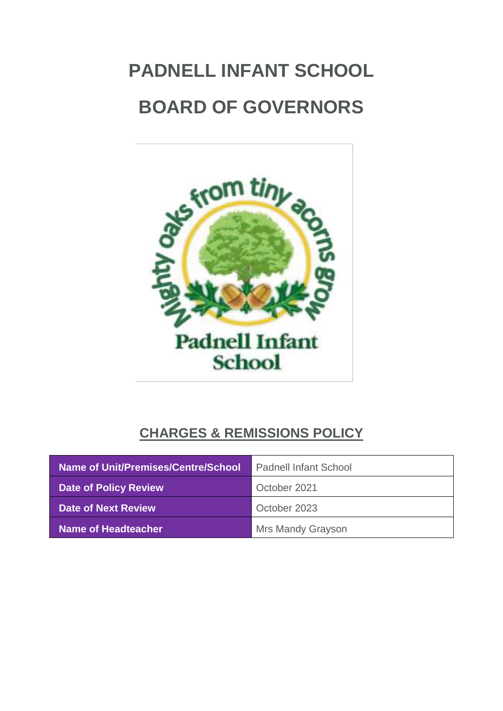# **PADNELL INFANT SCHOOL BOARD OF GOVERNORS**



## **CHARGES & REMISSIONS POLICY**

| Name of Unit/Premises/Centre/School | <b>Padnell Infant School</b> |
|-------------------------------------|------------------------------|
| <b>Date of Policy Review</b>        | October 2021                 |
| Date of Next Review                 | October 2023                 |
| Name of Headteacher                 | <b>Mrs Mandy Grayson</b>     |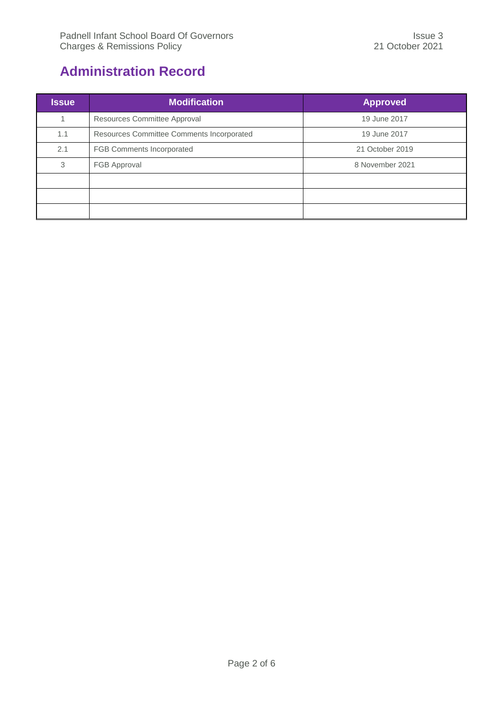## <span id="page-1-0"></span>**Administration Record**

| <b>Issue</b> | <b>Modification</b>                       | <b>Approved</b> |
|--------------|-------------------------------------------|-----------------|
| -1           | Resources Committee Approval              | 19 June 2017    |
| 1.1          | Resources Committee Comments Incorporated | 19 June 2017    |
| 2.1          | <b>FGB Comments Incorporated</b>          | 21 October 2019 |
| 3            | FGB Approval                              | 8 November 2021 |
|              |                                           |                 |
|              |                                           |                 |
|              |                                           |                 |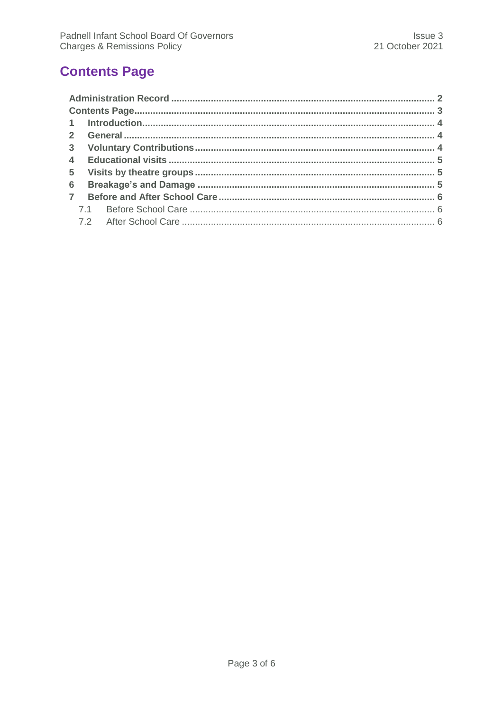## <span id="page-2-0"></span>**Contents Page**

| $6 -$          |  |
|----------------|--|
| $\overline{7}$ |  |
|                |  |
|                |  |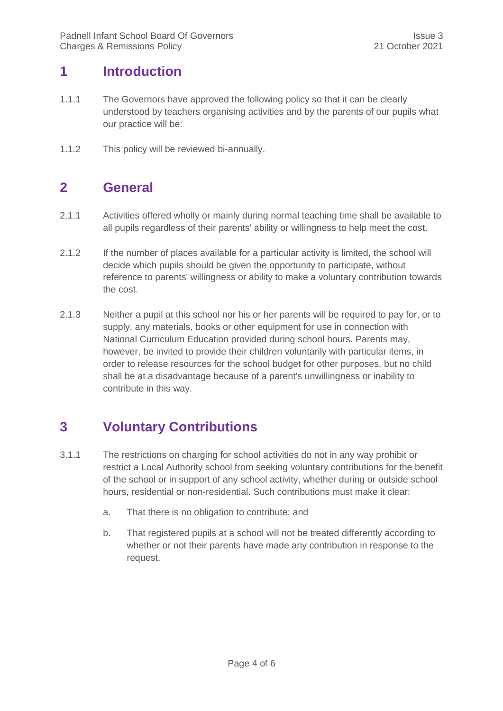#### <span id="page-3-0"></span>**1 Introduction**

- 1.1.1 The Governors have approved the following policy so that it can be clearly understood by teachers organising activities and by the parents of our pupils what our practice will be:
- <span id="page-3-1"></span>1.1.2 This policy will be reviewed bi-annually.

#### **2 General**

- 2.1.1 Activities offered wholly or mainly during normal teaching time shall be available to all pupils regardless of their parents' ability or willingness to help meet the cost.
- 2.1.2 If the number of places available for a particular activity is limited, the school will decide which pupils should be given the opportunity to participate, without reference to parents' willingness or ability to make a voluntary contribution towards the cost.
- 2.1.3 Neither a pupil at this school nor his or her parents will be required to pay for, or to supply, any materials, books or other equipment for use in connection with National Curriculum Education provided during school hours. Parents may, however, be invited to provide their children voluntarily with particular items, in order to release resources for the school budget for other purposes, but no child shall be at a disadvantage because of a parent's unwillingness or inability to contribute in this way.

#### <span id="page-3-2"></span>**3 Voluntary Contributions**

- 3.1.1 The restrictions on charging for school activities do not in any way prohibit or restrict a Local Authority school from seeking voluntary contributions for the benefit of the school or in support of any school activity, whether during or outside school hours, residential or non-residential. Such contributions must make it clear:
	- a. That there is no obligation to contribute; and
	- b. That registered pupils at a school will not be treated differently according to whether or not their parents have made any contribution in response to the request.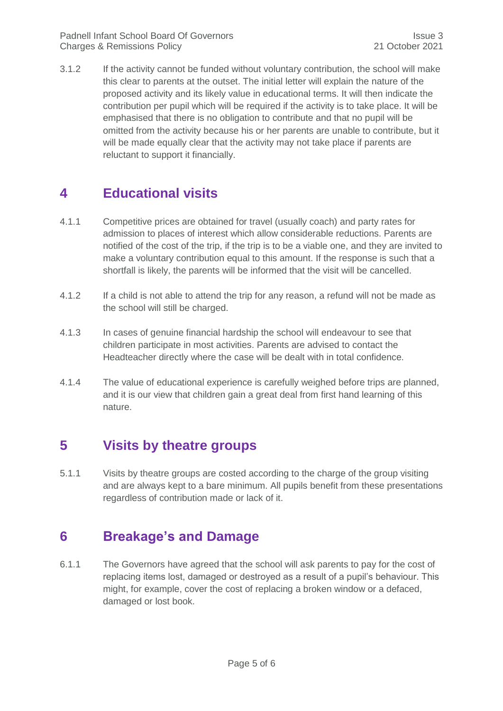3.1.2 If the activity cannot be funded without voluntary contribution, the school will make this clear to parents at the outset. The initial letter will explain the nature of the proposed activity and its likely value in educational terms. It will then indicate the contribution per pupil which will be required if the activity is to take place. It will be emphasised that there is no obligation to contribute and that no pupil will be omitted from the activity because his or her parents are unable to contribute, but it will be made equally clear that the activity may not take place if parents are reluctant to support it financially.

#### <span id="page-4-0"></span>**4 Educational visits**

- 4.1.1 Competitive prices are obtained for travel (usually coach) and party rates for admission to places of interest which allow considerable reductions. Parents are notified of the cost of the trip, if the trip is to be a viable one, and they are invited to make a voluntary contribution equal to this amount. If the response is such that a shortfall is likely, the parents will be informed that the visit will be cancelled.
- 4.1.2 If a child is not able to attend the trip for any reason, a refund will not be made as the school will still be charged.
- 4.1.3 In cases of genuine financial hardship the school will endeavour to see that children participate in most activities. Parents are advised to contact the Headteacher directly where the case will be dealt with in total confidence.
- 4.1.4 The value of educational experience is carefully weighed before trips are planned, and it is our view that children gain a great deal from first hand learning of this nature.

#### <span id="page-4-1"></span>**5 Visits by theatre groups**

5.1.1 Visits by theatre groups are costed according to the charge of the group visiting and are always kept to a bare minimum. All pupils benefit from these presentations regardless of contribution made or lack of it.

#### <span id="page-4-2"></span>**6 Breakage's and Damage**

6.1.1 The Governors have agreed that the school will ask parents to pay for the cost of replacing items lost, damaged or destroyed as a result of a pupil's behaviour. This might, for example, cover the cost of replacing a broken window or a defaced, damaged or lost book.